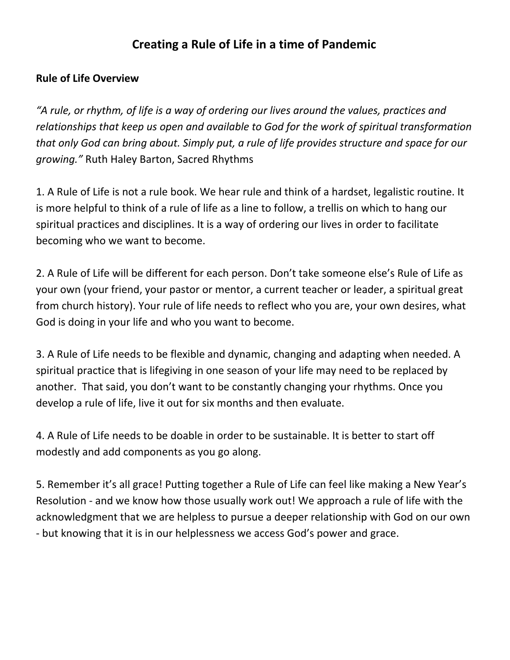## **Creating a Rule of Life in a time of Pandemic**

#### **Rule of Life Overview**

*"A rule, or rhythm, of life is a way of ordering our lives around the values, practices and relationships that keep us open and available to God for the work of spiritual transformation that only God can bring about. Simply put, a rule of life provides structure and space for our growing."* Ruth Haley Barton, Sacred Rhythms

1. A Rule of Life is not a rule book. We hear rule and think of a hardset, legalistic routine. It is more helpful to think of a rule of life as a line to follow, a trellis on which to hang our spiritual practices and disciplines. It is a way of ordering our lives in order to facilitate becoming who we want to become.

2. A Rule of Life will be different for each person. Don't take someone else's Rule of Life as your own (your friend, your pastor or mentor, a current teacher or leader, a spiritual great from church history). Your rule of life needs to reflect who you are, your own desires, what God is doing in your life and who you want to become.

3. A Rule of Life needs to be flexible and dynamic, changing and adapting when needed. A spiritual practice that is lifegiving in one season of your life may need to be replaced by another. That said, you don't want to be constantly changing your rhythms. Once you develop a rule of life, live it out for six months and then evaluate.

4. A Rule of Life needs to be doable in order to be sustainable. It is better to start off modestly and add components as you go along.

5. Remember it's all grace! Putting together a Rule of Life can feel like making a New Year's Resolution - and we know how those usually work out! We approach a rule of life with the acknowledgment that we are helpless to pursue a deeper relationship with God on our own - but knowing that it is in our helplessness we access God's power and grace.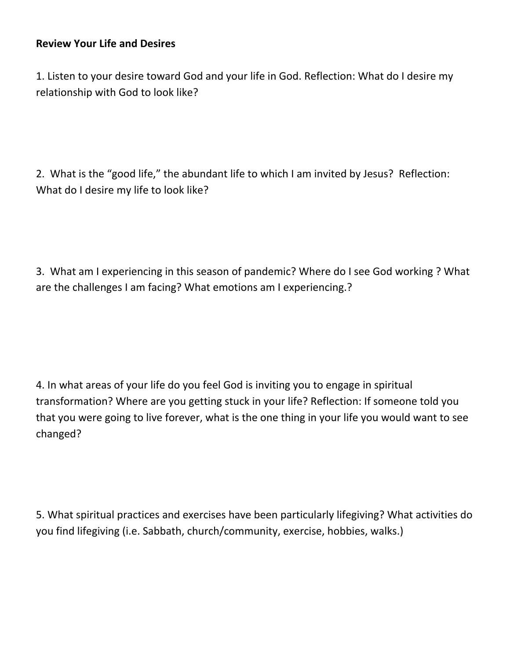#### **Review Your Life and Desires**

1. Listen to your desire toward God and your life in God. Reflection: What do I desire my relationship with God to look like?

2. What is the "good life," the abundant life to which I am invited by Jesus? Reflection: What do I desire my life to look like?

3. What am I experiencing in this season of pandemic? Where do I see God working ? What are the challenges I am facing? What emotions am I experiencing.?

4. In what areas of your life do you feel God is inviting you to engage in spiritual transformation? Where are you getting stuck in your life? Reflection: If someone told you that you were going to live forever, what is the one thing in your life you would want to see changed?

5. What spiritual practices and exercises have been particularly lifegiving? What activities do you find lifegiving (i.e. Sabbath, church/community, exercise, hobbies, walks.)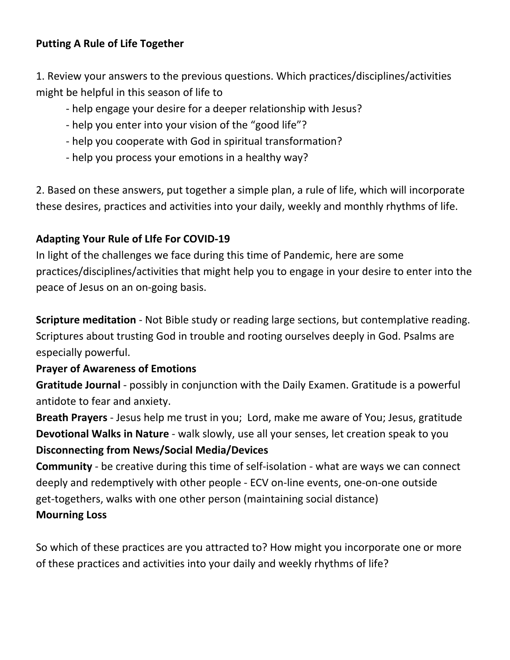#### **Putting A Rule of Life Together**

1. Review your answers to the previous questions. Which practices/disciplines/activities might be helpful in this season of life to

- help engage your desire for a deeper relationship with Jesus?
- help you enter into your vision of the "good life"?
- help you cooperate with God in spiritual transformation?
- help you process your emotions in a healthy way?

2. Based on these answers, put together a simple plan, a rule of life, which will incorporate these desires, practices and activities into your daily, weekly and monthly rhythms of life.

### **Adapting Your Rule of LIfe For COVID-19**

In light of the challenges we face during this time of Pandemic, here are some practices/disciplines/activities that might help you to engage in your desire to enter into the peace of Jesus on an on-going basis.

**Scripture meditation** - Not Bible study or reading large sections, but contemplative reading. Scriptures about trusting God in trouble and rooting ourselves deeply in God. Psalms are especially powerful.

#### **Prayer of Awareness of Emotions**

**Gratitude Journal** - possibly in conjunction with the Daily Examen. Gratitude is a powerful antidote to fear and anxiety.

**Breath Prayers** - Jesus help me trust in you; Lord, make me aware of You; Jesus, gratitude **Devotional Walks in Nature** - walk slowly, use all your senses, let creation speak to you **Disconnecting from News/Social Media/Devices**

**Community** - be creative during this time of self-isolation - what are ways we can connect deeply and redemptively with other people - ECV on-line events, one-on-one outside get-togethers, walks with one other person (maintaining social distance) **Mourning Loss**

So which of these practices are you attracted to? How might you incorporate one or more of these practices and activities into your daily and weekly rhythms of life?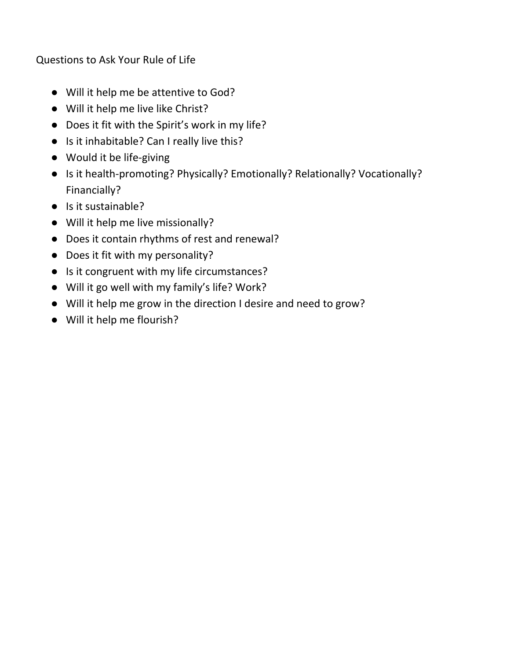Questions to Ask Your Rule of Life

- Will it help me be attentive to God?
- Will it help me live like Christ?
- Does it fit with the Spirit's work in my life?
- Is it inhabitable? Can I really live this?
- Would it be life-giving
- Is it health-promoting? Physically? Emotionally? Relationally? Vocationally? Financially?
- Is it sustainable?
- Will it help me live missionally?
- Does it contain rhythms of rest and renewal?
- Does it fit with my personality?
- Is it congruent with my life circumstances?
- Will it go well with my family's life? Work?
- Will it help me grow in the direction I desire and need to grow?
- Will it help me flourish?